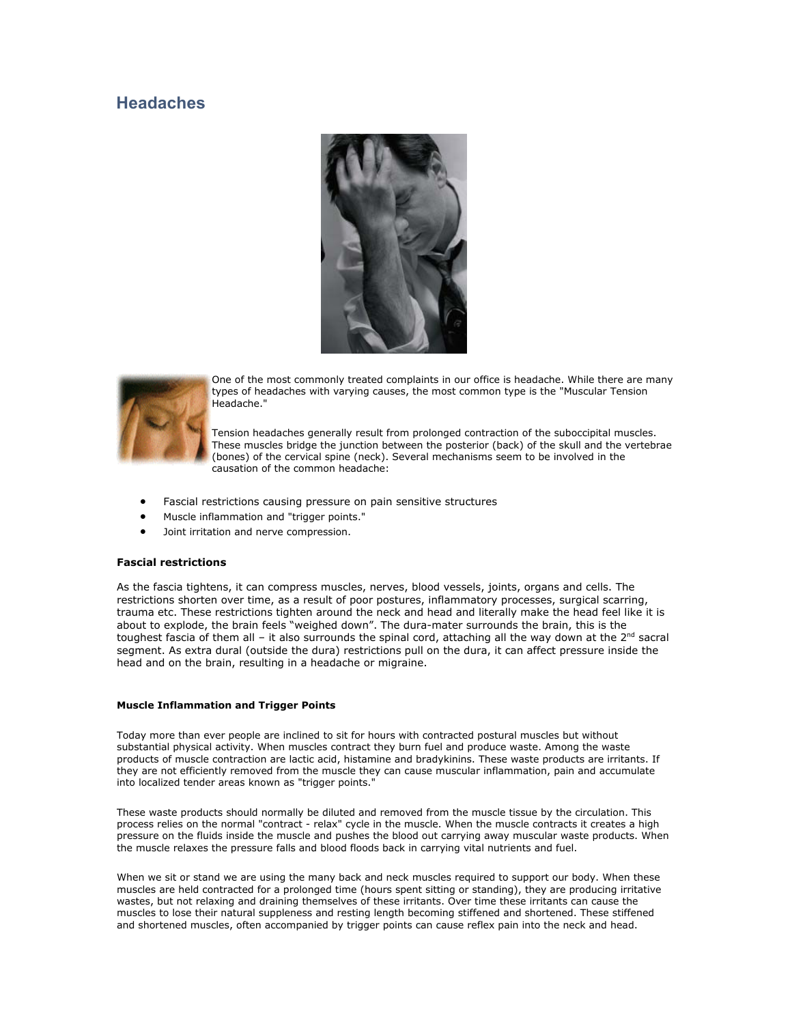# **Headaches**





One of the most commonly treated complaints in our office is headache. While there are m anytypes of headaches with varying causes, the most common type is the "Muscular Tension Headache."

Tension headaches generally result from prolonged contraction of the suboccipital muscles. These muscles bridge the junction between the posterior (back) of the skull and the v ertebrae (bones) of the cervical spine (neck). Several mechanisms seem to be involved in the causation of the common headache:

- Fascial restrictions causing pressure on pain sensitive structures
- Muscle inflammation and "trigger points."
- Joint irritation and nerve compression.

## **Fascial restrictions**

As the fascia tightens, it can compress muscles, nerves, blood vessels, joints, organs and cells. The restrictions shorten over time, as a result of poor postures, inflammatory processes, surgical scarring, trauma etc. These restrictions tighten around the neck and head and literally make the head feel like it is about to explode, the brain feels "weighed down". The dura-mater surrounds the brain, this is the toughest fascia of them all - it also surrounds the spinal cord, attaching all the way down at the  $2^{nd}$  sacral segment. As extra dural (outside the dura) restrictions pull on the dura, it can affect pressure inside the head and on the brain, resulting in a headache or migraine.

#### **Muscle Inflammation and Trigger Points**

Today more than ever people are inclined to sit for hours with contracted postural muscles but without substantial physical activity. When muscles contract they burn fuel and produce waste. Among the waste products of muscle contraction are lactic acid, histamine and bradykinins. These waste products are irritants. If they are not efficiently removed from the muscle they can cause muscular inflammation, pain and accumulate into localized tender areas known as "trigger points."

These waste products should normally be diluted and removed from the muscle tissue by the circulation. This process relies on the normal "contract - relax" cycle in the muscle. When the muscle contracts it creates a high pressure on the fluids inside the muscle and pushes the blood out carrying away muscular waste products. When the muscle relaxes the pressure falls and blood floods back in carrying vital nutrients and fuel.

When we sit or stand we are using the many back and neck muscles required to support our body. When these muscles are held contracted for a prolonged time (hours spent sitting or standing), they are producing irritative wastes, but not relaxing and draining themselves of these irritants. Over time these irritants can cause the muscles to lose their natural suppleness and resting length becoming stiffened and shortened. These stiffened and shortened muscles, often accompanied by trigger points can cause reflex pain into the neck and head.